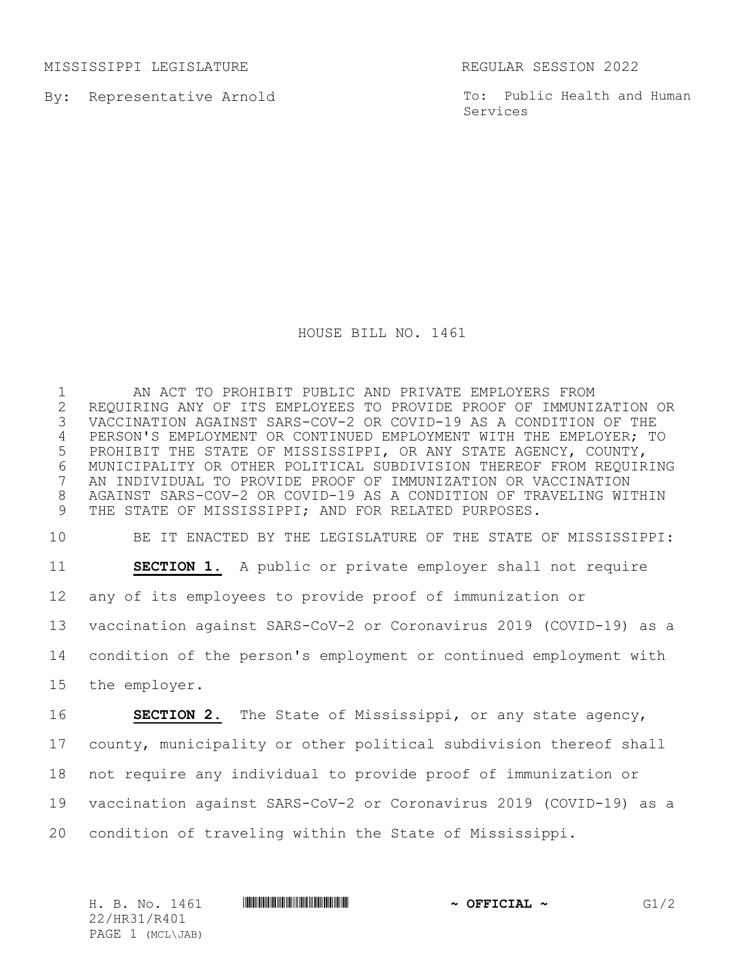MISSISSIPPI LEGISLATURE REGULAR SESSION 2022

By: Representative Arnold

To: Public Health and Human Services

## HOUSE BILL NO. 1461

 AN ACT TO PROHIBIT PUBLIC AND PRIVATE EMPLOYERS FROM 2 REQUIRING ANY OF ITS EMPLOYEES TO PROVIDE PROOF OF IMMUNIZATION OR<br>3 VACCINATION AGAINST SARS-COV-2 OR COVID-19 AS A CONDITION OF THE VACCINATION AGAINST SARS-COV-2 OR COVID-19 AS A CONDITION OF THE PERSON'S EMPLOYMENT OR CONTINUED EMPLOYMENT WITH THE EMPLOYER; TO PROHIBIT THE STATE OF MISSISSIPPI, OR ANY STATE AGENCY, COUNTY, MUNICIPALITY OR OTHER POLITICAL SUBDIVISION THEREOF FROM REQUIRING AN INDIVIDUAL TO PROVIDE PROOF OF IMMUNIZATION OR VACCINATION AGAINST SARS-COV-2 OR COVID-19 AS A CONDITION OF TRAVELING WITHIN THE STATE OF MISSISSIPPI; AND FOR RELATED PURPOSES.

BE IT ENACTED BY THE LEGISLATURE OF THE STATE OF MISSISSIPPI:

**SECTION 1.** A public or private employer shall not require

any of its employees to provide proof of immunization or

vaccination against SARS-CoV-2 or Coronavirus 2019 (COVID-19) as a

condition of the person's employment or continued employment with

the employer.

 **SECTION 2.** The State of Mississippi, or any state agency, county, municipality or other political subdivision thereof shall not require any individual to provide proof of immunization or vaccination against SARS-CoV-2 or Coronavirus 2019 (COVID-19) as a condition of traveling within the State of Mississippi.